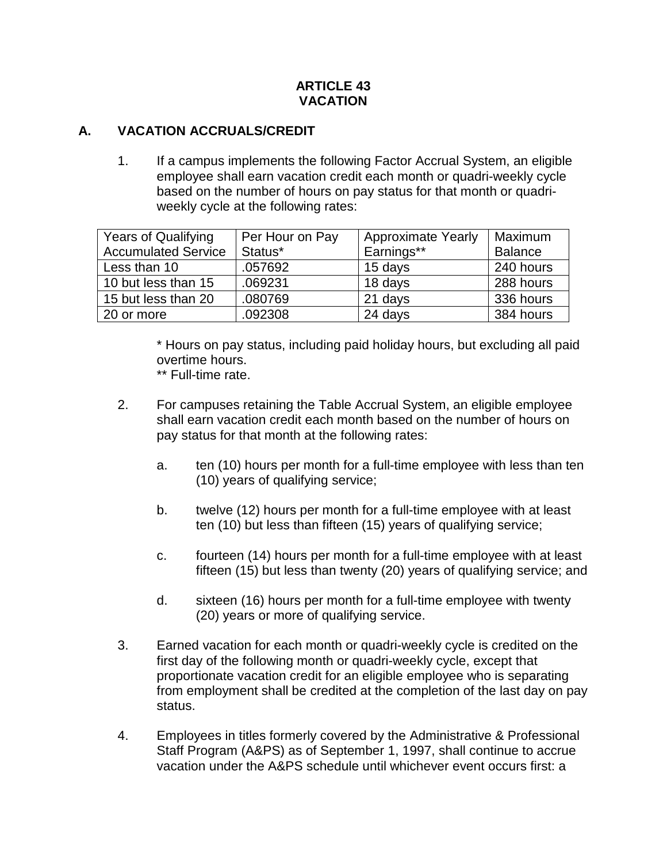#### **ARTICLE 43 VACATION**

#### **A. VACATION ACCRUALS/CREDIT**

1. If a campus implements the following Factor Accrual System, an eligible employee shall earn vacation credit each month or quadri-weekly cycle based on the number of hours on pay status for that month or quadriweekly cycle at the following rates:

| <b>Years of Qualifying</b> | Per Hour on Pay | <b>Approximate Yearly</b> | Maximum        |
|----------------------------|-----------------|---------------------------|----------------|
| <b>Accumulated Service</b> | Status*         | Earnings**                | <b>Balance</b> |
| Less than 10               | .057692         | 15 days                   | 240 hours      |
| 10 but less than 15        | .069231         | 18 days                   | 288 hours      |
| 15 but less than 20        | .080769         | 21 days                   | 336 hours      |
| 20 or more                 | .092308         | 24 days                   | 384 hours      |

\* Hours on pay status, including paid holiday hours, but excluding all paid overtime hours.

\*\* Full-time rate.

- 2. For campuses retaining the Table Accrual System, an eligible employee shall earn vacation credit each month based on the number of hours on pay status for that month at the following rates:
	- a. ten (10) hours per month for a full-time employee with less than ten (10) years of qualifying service;
	- b. twelve (12) hours per month for a full-time employee with at least ten (10) but less than fifteen (15) years of qualifying service;
	- c. fourteen (14) hours per month for a full-time employee with at least fifteen (15) but less than twenty (20) years of qualifying service; and
	- d. sixteen (16) hours per month for a full-time employee with twenty (20) years or more of qualifying service.
- 3. Earned vacation for each month or quadri-weekly cycle is credited on the first day of the following month or quadri-weekly cycle, except that proportionate vacation credit for an eligible employee who is separating from employment shall be credited at the completion of the last day on pay status.
- 4. Employees in titles formerly covered by the Administrative & Professional Staff Program (A&PS) as of September 1, 1997, shall continue to accrue vacation under the A&PS schedule until whichever event occurs first: a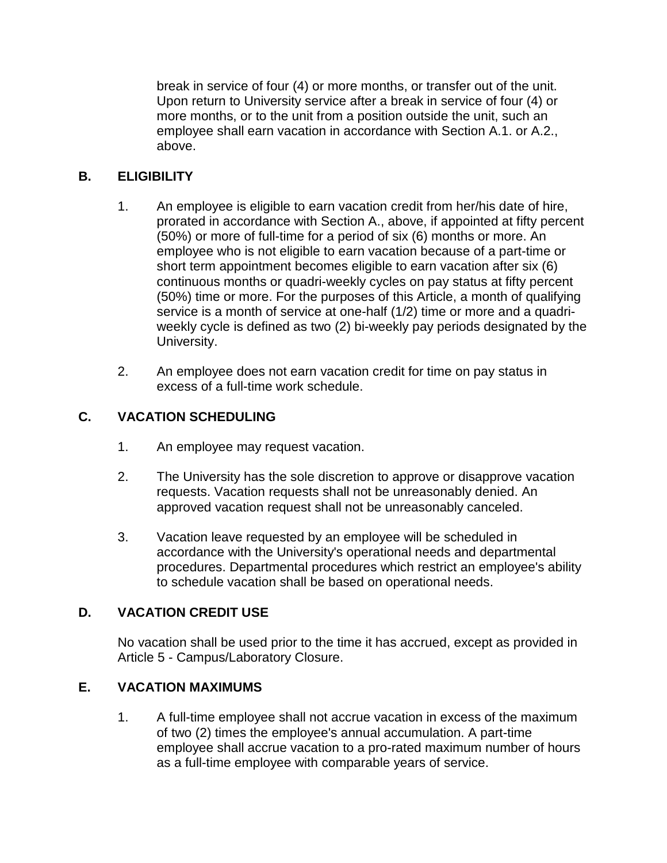break in service of four (4) or more months, or transfer out of the unit. Upon return to University service after a break in service of four (4) or more months, or to the unit from a position outside the unit, such an employee shall earn vacation in accordance with Section A.1. or A.2., above.

# **B. ELIGIBILITY**

- 1. An employee is eligible to earn vacation credit from her/his date of hire, prorated in accordance with Section A., above, if appointed at fifty percent (50%) or more of full-time for a period of six (6) months or more. An employee who is not eligible to earn vacation because of a part-time or short term appointment becomes eligible to earn vacation after six (6) continuous months or quadri-weekly cycles on pay status at fifty percent (50%) time or more. For the purposes of this Article, a month of qualifying service is a month of service at one-half (1/2) time or more and a quadriweekly cycle is defined as two (2) bi-weekly pay periods designated by the University.
- 2. An employee does not earn vacation credit for time on pay status in excess of a full-time work schedule.

## **C. VACATION SCHEDULING**

- 1. An employee may request vacation.
- 2. The University has the sole discretion to approve or disapprove vacation requests. Vacation requests shall not be unreasonably denied. An approved vacation request shall not be unreasonably canceled.
- 3. Vacation leave requested by an employee will be scheduled in accordance with the University's operational needs and departmental procedures. Departmental procedures which restrict an employee's ability to schedule vacation shall be based on operational needs.

### **D. VACATION CREDIT USE**

No vacation shall be used prior to the time it has accrued, except as provided in Article 5 - Campus/Laboratory Closure.

### **E. VACATION MAXIMUMS**

1. A full-time employee shall not accrue vacation in excess of the maximum of two (2) times the employee's annual accumulation. A part-time employee shall accrue vacation to a pro-rated maximum number of hours as a full-time employee with comparable years of service.